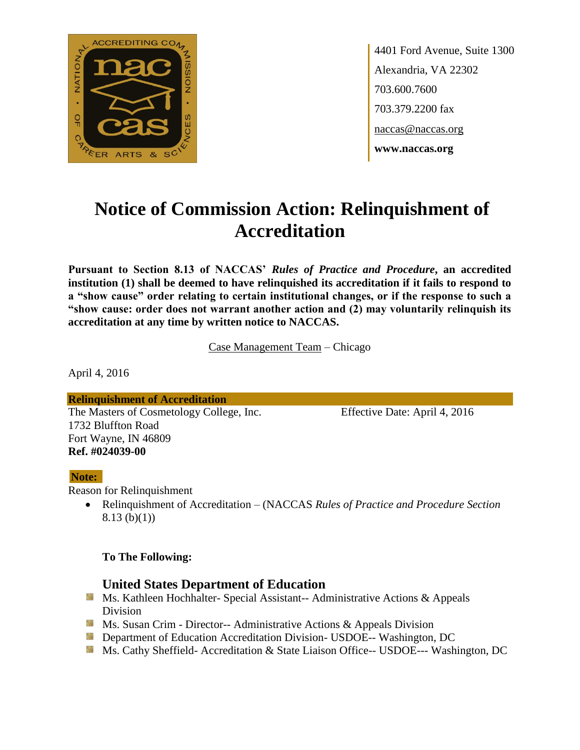

4401 Ford Avenue, Suite 1300 Alexandria, VA 22302 703.600.7600 703.379.2200 fax naccas@naccas.org **www.naccas.org**

# **Notice of Commission Action: Relinquishment of Accreditation**

**Pursuant to Section 8.13 of NACCAS'** *Rules of Practice and Procedure***, an accredited institution (1) shall be deemed to have relinquished its accreditation if it fails to respond to a "show cause" order relating to certain institutional changes, or if the response to such a "show cause: order does not warrant another action and (2) may voluntarily relinquish its accreditation at any time by written notice to NACCAS.**

Case Management Team – Chicago

April 4, 2016

**Relinquishment of Accreditation** The Masters of Cosmetology College, Inc. Effective Date: April 4, 2016 1732 Bluffton Road Fort Wayne, IN 46809 **Ref. #024039-00**

#### **Note:**

Reason for Relinquishment

 Relinquishment of Accreditation – (NACCAS *Rules of Practice and Procedure Section*  8.13 (b)(1))

#### **To The Following:**

## **United States Department of Education**

- **Ms. Kathleen Hochhalter- Special Assistant-- Administrative Actions & Appeals** Division
- **Ms. Susan Crim Director-- Administrative Actions & Appeals Division**
- **Department of Education Accreditation Division- USDOE-- Washington, DC**
- Ms. Cathy Sheffield- Accreditation & State Liaison Office-- USDOE--- Washington, DC